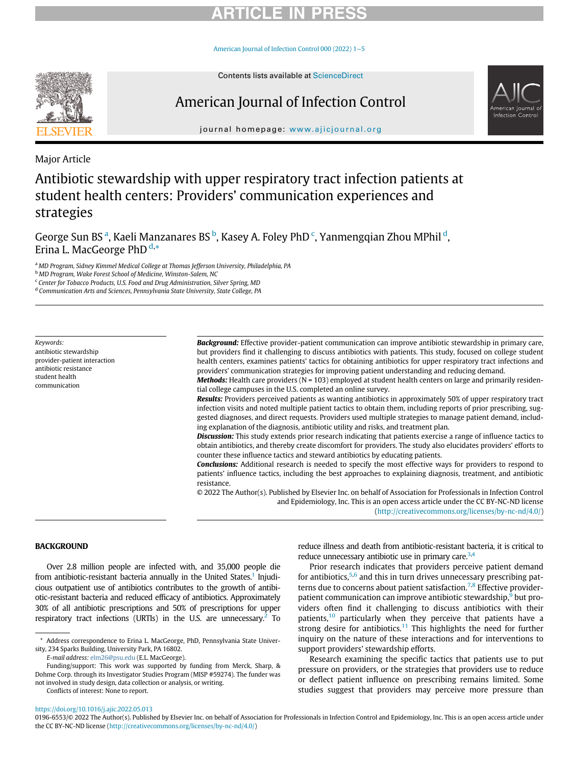# RTICI E IN

[American Journal of Infection Control 000 \(2022\) 1](https://doi.org/10.1016/j.ajic.2022.05.013)−5



# American Journal of Infection Control



journal homepage: [www.ajicjournal.org](http://www.ajicjournal.org)

Major Article

## Antibiotic stewardship with upper respiratory tract infection patients at student health centers: Providers' communication experiences and strategies

George Sun BS <sup>[a](#page-0-0)</sup>, Kaeli Manzanares BS <sup>[b](#page-0-1)</sup>, Kasey A. Foley PhD <sup>[c](#page-0-2)</sup>, Yanmengqian Zhou MPhil <sup>[d](#page-0-3)</sup>, Erina L. MacGeorge PhD<sup>[d,](#page-0-3)[\\*](#page-0-4)</sup>

<span id="page-0-0"></span>a MD Program, Sidney Kimmel Medical College at Thomas Jefferson University, Philadelphia, PA

<span id="page-0-1"></span><sup>b</sup> MD Program, Wake Forest School of Medicine, Winston-Salem, NC

<span id="page-0-2"></span><sup>c</sup> Center for Tobacco Products, U.S. Food and Drug Administration, Silver Spring, MD

<span id="page-0-3"></span><sup>d</sup> Communication Arts and Sciences, Pennsylvania State University, State College, PA

Keywords: antibiotic stewardship provider-patient interaction antibiotic resistance student health communication

**Background:** Effective provider-patient communication can improve antibiotic stewardship in primary care, but providers find it challenging to discuss antibiotics with patients. This study, focused on college student health centers, examines patients' tactics for obtaining antibiotics for upper respiratory tract infections and providers' communication strategies for improving patient understanding and reducing demand.

**Methods:** Health care providers ( $N = 103$ ) employed at student health centers on large and primarily residential college campuses in the U.S. completed an online survey.

Results: Providers perceived patients as wanting antibiotics in approximately 50% of upper respiratory tract infection visits and noted multiple patient tactics to obtain them, including reports of prior prescribing, suggested diagnoses, and direct requests. Providers used multiple strategies to manage patient demand, including explanation of the diagnosis, antibiotic utility and risks, and treatment plan.

Discussion: This study extends prior research indicating that patients exercise a range of influence tactics to obtain antibiotics, and thereby create discomfort for providers. The study also elucidates providers' efforts to counter these influence tactics and steward antibiotics by educating patients.

**Conclusions:** Additional research is needed to specify the most effective ways for providers to respond to patients' influence tactics, including the best approaches to explaining diagnosis, treatment, and antibiotic resistance.

© 2022 The Author(s). Published by Elsevier Inc. on behalf of Association for Professionals in Infection Control and Epidemiology, Inc. This is an open access article under the CC BY-NC-ND license [\(http://creativecommons.org/licenses/by-nc-nd/4.0/](http://creativecommons.org/licenses/by-nc-nd/4.0/))

## **BACKGROUND**

Over 2.8 million people are infected with, and 35,000 people die from antibiotic-resistant bacteria annually in the United States.<sup>1</sup> Injudicious outpatient use of antibiotics contributes to the growth of antibiotic-resistant bacteria and reduced efficacy of antibiotics. Approximately 30% of all antibiotic prescriptions and 50% of prescriptions for upper respiratory tract infections (URTIs) in the U.S. are unnecessary. $<sup>2</sup>$  To</sup>

E-mail address: [elm26@psu.edu](mailto:elm26@psu.edu) (E.L. MacGeorge).

Conflicts of interest: None to report.

reduce illness and death from antibiotic-resistant bacteria, it is critical to reduce unnecessary antibiotic use in primary care. $3,4$  $3,4$ 

Prior research indicates that providers perceive patient demand for antibiotics, $5,6$  $5,6$  and this in turn drives unnecessary prescribing pat-terns due to concerns about patient satisfaction.<sup>[7,](#page-4-6)[8](#page-4-7)</sup> Effective provider-patient communication can improve antibiotic stewardship,<sup>[9](#page-4-8)</sup> but providers often find it challenging to discuss antibiotics with their patients, $10$  particularly when they perceive that patients have a strong desire for antibiotics.<sup>[11](#page-4-10)</sup> This highlights the need for further inquiry on the nature of these interactions and for interventions to support providers' stewardship efforts.

Research examining the specific tactics that patients use to put pressure on providers, or the strategies that providers use to reduce or deflect patient influence on prescribing remains limited. Some studies suggest that providers may perceive more pressure than

<https://doi.org/10.1016/j.ajic.2022.05.013>

<span id="page-0-4"></span><sup>\*</sup> Address correspondence to Erina L. MacGeorge, PhD, Pennsylvania State University, 234 Sparks Building, University Park, PA 16802.

Funding/support: This work was supported by funding from Merck, Sharp, & Dohme Corp. through its Investigator Studies Program (MISP #59274). The funder was not involved in study design, data collection or analysis, or writing.

<sup>0196-6553/© 2022</sup> The Author(s). Published by Elsevier Inc. on behalf of Association for Professionals in Infection Control and Epidemiology, Inc. This is an open access article under the CC BY-NC-ND license ([http://creativecommons.org/licenses/by-nc-nd/4.0/\)](http://creativecommons.org/licenses/by-nc-nd/4.0/)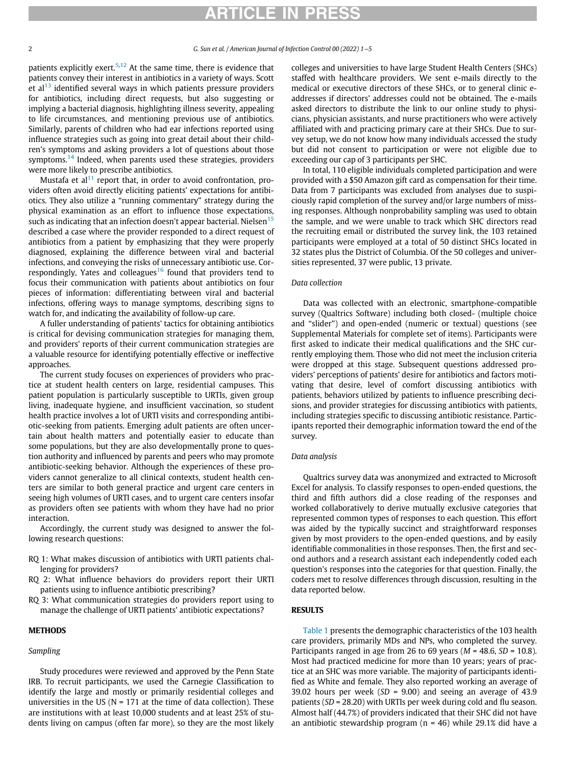## RTICLE IN PRE

#### 2 G. Sun et al. / American Journal of Infection Control 00 (2022) 1−5

patients explicitly exert.<sup>[5](#page-4-4),[12](#page-4-11)</sup> At the same time, there is evidence that patients convey their interest in antibiotics in a variety of ways. Scott et al $13$  identified several ways in which patients pressure providers for antibiotics, including direct requests, but also suggesting or implying a bacterial diagnosis, highlighting illness severity, appealing to life circumstances, and mentioning previous use of antibiotics. Similarly, parents of children who had ear infections reported using influence strategies such as going into great detail about their children's symptoms and asking providers a lot of questions about those symptoms.<sup>[14](#page-4-13)</sup> Indeed, when parents used these strategies, providers were more likely to prescribe antibiotics.

Mustafa et  $al<sup>11</sup>$  $al<sup>11</sup>$  $al<sup>11</sup>$  report that, in order to avoid confrontation, providers often avoid directly eliciting patients' expectations for antibiotics. They also utilize a "running commentary" strategy during the physical examination as an effort to influence those expectations, such as indicating that an infection doesn't appear bacterial. Nielsen<sup>[15](#page-4-14)</sup> described a case where the provider responded to a direct request of antibiotics from a patient by emphasizing that they were properly diagnosed, explaining the difference between viral and bacterial infections, and conveying the risks of unnecessary antibiotic use. Cor-respondingly, Yates and colleagues<sup>[16](#page-4-15)</sup> found that providers tend to focus their communication with patients about antibiotics on four pieces of information: differentiating between viral and bacterial infections, offering ways to manage symptoms, describing signs to watch for, and indicating the availability of follow-up care.

A fuller understanding of patients' tactics for obtaining antibiotics is critical for devising communication strategies for managing them, and providers' reports of their current communication strategies are a valuable resource for identifying potentially effective or ineffective approaches.

The current study focuses on experiences of providers who practice at student health centers on large, residential campuses. This patient population is particularly susceptible to URTIs, given group living, inadequate hygiene, and insufficient vaccination, so student health practice involves a lot of URTI visits and corresponding antibiotic-seeking from patients. Emerging adult patients are often uncertain about health matters and potentially easier to educate than some populations, but they are also developmentally prone to question authority and influenced by parents and peers who may promote antibiotic-seeking behavior. Although the experiences of these providers cannot generalize to all clinical contexts, student health centers are similar to both general practice and urgent care centers in seeing high volumes of URTI cases, and to urgent care centers insofar as providers often see patients with whom they have had no prior interaction.

Accordingly, the current study was designed to answer the following research questions:

- RQ 1: What makes discussion of antibiotics with URTI patients challenging for providers?
- RQ 2: What influence behaviors do providers report their URTI patients using to influence antibiotic prescribing?
- RQ 3: What communication strategies do providers report using to manage the challenge of URTI patients' antibiotic expectations?

### **METHODS**

#### Sampling

Study procedures were reviewed and approved by the Penn State IRB. To recruit participants, we used the Carnegie Classification to identify the large and mostly or primarily residential colleges and universities in the US ( $N = 171$  at the time of data collection). These are institutions with at least 10,000 students and at least 25% of students living on campus (often far more), so they are the most likely

colleges and universities to have large Student Health Centers (SHCs) staffed with healthcare providers. We sent e-mails directly to the medical or executive directors of these SHCs, or to general clinic eaddresses if directors' addresses could not be obtained. The e-mails asked directors to distribute the link to our online study to physicians, physician assistants, and nurse practitioners who were actively affiliated with and practicing primary care at their SHCs. Due to survey setup, we do not know how many individuals accessed the study but did not consent to participation or were not eligible due to exceeding our cap of 3 participants per SHC.

In total, 110 eligible individuals completed participation and were provided with a \$50 Amazon gift card as compensation for their time. Data from 7 participants was excluded from analyses due to suspiciously rapid completion of the survey and/or large numbers of missing responses. Although nonprobability sampling was used to obtain the sample, and we were unable to track which SHC directors read the recruiting email or distributed the survey link, the 103 retained participants were employed at a total of 50 distinct SHCs located in 32 states plus the District of Columbia. Of the 50 colleges and universities represented, 37 were public, 13 private.

#### Data collection

Data was collected with an electronic, smartphone-compatible survey (Qualtrics Software) including both closed- (multiple choice and "slider") and open-ended (numeric or textual) questions (see Supplemental Materials for complete set of items). Participants were first asked to indicate their medical qualifications and the SHC currently employing them. Those who did not meet the inclusion criteria were dropped at this stage. Subsequent questions addressed providers' perceptions of patients' desire for antibiotics and factors motivating that desire, level of comfort discussing antibiotics with patients, behaviors utilized by patients to influence prescribing decisions, and provider strategies for discussing antibiotics with patients, including strategies specific to discussing antibiotic resistance. Participants reported their demographic information toward the end of the survey.

### Data analysis

Qualtrics survey data was anonymized and extracted to Microsoft Excel for analysis. To classify responses to open-ended questions, the third and fifth authors did a close reading of the responses and worked collaboratively to derive mutually exclusive categories that represented common types of responses to each question. This effort was aided by the typically succinct and straightforward responses given by most providers to the open-ended questions, and by easily identifiable commonalities in those responses. Then, the first and second authors and a research assistant each independently coded each question's responses into the categories for that question. Finally, the coders met to resolve differences through discussion, resulting in the data reported below.

## RESULTS

[Table 1](#page-2-0) presents the demographic characteristics of the 103 health care providers, primarily MDs and NPs, who completed the survey. Participants ranged in age from 26 to 69 years ( $M = 48.6$ ,  $SD = 10.8$ ). Most had practiced medicine for more than 10 years; years of practice at an SHC was more variable. The majority of participants identified as White and female. They also reported working an average of 39.02 hours per week ( $SD = 9.00$ ) and seeing an average of 43.9 patients (SD = 28.20) with URTIs per week during cold and flu season. Almost half (44.7%) of providers indicated that their SHC did not have an antibiotic stewardship program  $(n = 46)$  while 29.1% did have a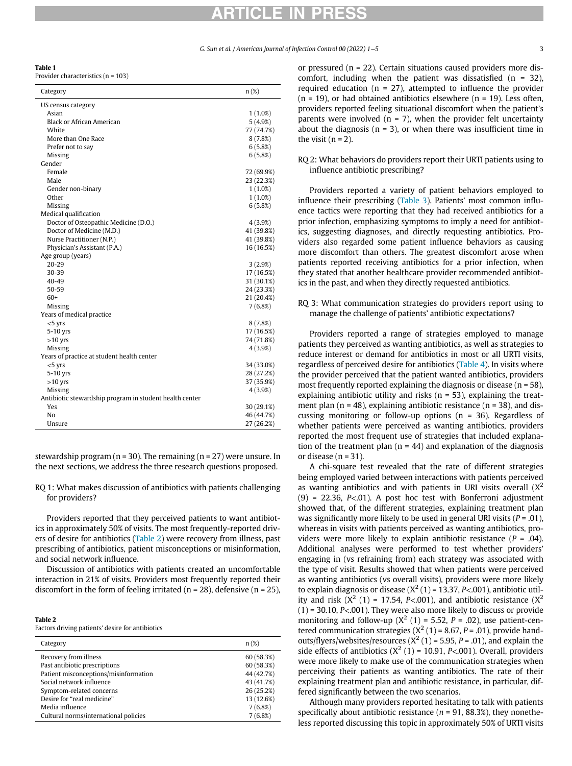# ARTICLE IN PRESS

<span id="page-2-0"></span>Table 1

Provider characteristics (n = 103)

| Category                                                | $n(\%)$    |
|---------------------------------------------------------|------------|
| US census category                                      |            |
| Asian                                                   | 1(1.0%)    |
| <b>Black or African American</b>                        | 5(4.9%)    |
| White                                                   | 77 (74.7%) |
| More than One Race                                      | 8(7.8%)    |
| Prefer not to say                                       | 6(5.8%)    |
| Missing                                                 | 6(5.8%)    |
| Gender                                                  |            |
| Female                                                  | 72 (69.9%) |
| Male                                                    | 23 (22.3%) |
| Gender non-binary                                       | 1(1.0%)    |
| Other                                                   | 1(1.0%)    |
| Missing                                                 | 6(5.8%)    |
| Medical qualification                                   |            |
| Doctor of Osteopathic Medicine (D.O.)                   | 4(3.9%)    |
| Doctor of Medicine (M,D,)                               | 41 (39.8%) |
| Nurse Practitioner (N.P.)                               | 41 (39.8%) |
| Physician's Assistant (P.A.)                            | 16 (16.5%) |
| Age group (years)                                       |            |
| 20-29                                                   | 3(2.9%)    |
| 30-39                                                   | 17 (16.5%) |
| 40-49                                                   | 31 (30.1%) |
| 50-59                                                   | 24 (23.3%) |
| $60+$                                                   | 21 (20.4%) |
| Missing                                                 | 7(6.8%)    |
| Years of medical practice                               |            |
| $< 5$ yrs                                               | 8(7.8%)    |
| 5-10 yrs                                                | 17 (16.5%) |
| $>10$ yrs                                               | 74 (71.8%) |
| Missing                                                 | 4(3.9%)    |
| Years of practice at student health center              |            |
| $<$ 5 $Vrs$                                             | 34 (33.0%) |
| 5-10 yrs                                                | 28 (27.2%) |
| $>10$ yrs                                               | 37 (35.9%) |
| Missing                                                 | 4(3.9%)    |
| Antibiotic stewardship program in student health center |            |
| Yes                                                     | 30 (29.1%) |
| No                                                      | 46 (44.7%) |
| Unsure                                                  | 27 (26.2%) |

stewardship program ( $n = 30$ ). The remaining ( $n = 27$ ) were unsure. In the next sections, we address the three research questions proposed.

RQ 1: What makes discussion of antibiotics with patients challenging for providers?

Providers reported that they perceived patients to want antibiotics in approximately 50% of visits. The most frequently-reported drivers of desire for antibiotics ([Table 2\)](#page-2-1) were recovery from illness, past prescribing of antibiotics, patient misconceptions or misinformation, and social network influence.

Discussion of antibiotics with patients created an uncomfortable interaction in 21% of visits. Providers most frequently reported their discomfort in the form of feeling irritated ( $n = 28$ ), defensive ( $n = 25$ ),

<span id="page-2-1"></span>

| ٠ |  |
|---|--|
|   |  |

Factors driving patients' desire for antibiotics

| Category                              | $n(\%)$    |
|---------------------------------------|------------|
| Recovery from illness                 | 60 (58.3%) |
| Past antibiotic prescriptions         | 60 (58.3%) |
| Patient misconceptions/misinformation | 44 (42.7%) |
| Social network influence              | 43 (41.7%) |
| Symptom-related concerns              | 26 (25.2%) |
| Desire for "real medicine"            | 13 (12.6%) |
| Media influence                       | 7(6.8%)    |
| Cultural norms/international policies | 7(6.8%)    |
|                                       |            |

or pressured (n = 22). Certain situations caused providers more discomfort, including when the patient was dissatisfied  $(n = 32)$ , required education ( $n = 27$ ), attempted to influence the provider  $(n = 19)$ , or had obtained antibiotics elsewhere  $(n = 19)$ . Less often, providers reported feeling situational discomfort when the patient's parents were involved ( $n = 7$ ), when the provider felt uncertainty about the diagnosis ( $n = 3$ ), or when there was insufficient time in the visit  $(n = 2)$ .

### RQ 2: What behaviors do providers report their URTI patients using to influence antibiotic prescribing?

Providers reported a variety of patient behaviors employed to influence their prescribing ([Table 3\)](#page-3-0). Patients' most common influence tactics were reporting that they had received antibiotics for a prior infection, emphasizing symptoms to imply a need for antibiotics, suggesting diagnoses, and directly requesting antibiotics. Providers also regarded some patient influence behaviors as causing more discomfort than others. The greatest discomfort arose when patients reported receiving antibiotics for a prior infection, when they stated that another healthcare provider recommended antibiotics in the past, and when they directly requested antibiotics.

## RQ 3: What communication strategies do providers report using to manage the challenge of patients' antibiotic expectations?

Providers reported a range of strategies employed to manage patients they perceived as wanting antibiotics, as well as strategies to reduce interest or demand for antibiotics in most or all URTI visits, regardless of perceived desire for antibiotics ([Table 4\)](#page-3-1). In visits where the provider perceived that the patient wanted antibiotics, providers most frequently reported explaining the diagnosis or disease ( $n = 58$ ), explaining antibiotic utility and risks ( $n = 53$ ), explaining the treatment plan ( $n = 48$ ), explaining antibiotic resistance ( $n = 38$ ), and discussing monitoring or follow-up options ( $n = 36$ ). Regardless of whether patients were perceived as wanting antibiotics, providers reported the most frequent use of strategies that included explanation of the treatment plan ( $n = 44$ ) and explanation of the diagnosis or disease ( $n = 31$ ).

A chi-square test revealed that the rate of different strategies being employed varied between interactions with patients perceived as wanting antibiotics and with patients in URI visits overall  $(X^2)$  $(9)$  = 22.36, P<.01). A post hoc test with Bonferroni adjustment showed that, of the different strategies, explaining treatment plan was significantly more likely to be used in general URI visits ( $P = .01$ ), whereas in visits with patients perceived as wanting antibiotics, providers were more likely to explain antibiotic resistance  $(P = .04)$ . Additional analyses were performed to test whether providers' engaging in (vs refraining from) each strategy was associated with the type of visit. Results showed that when patients were perceived as wanting antibiotics (vs overall visits), providers were more likely to explain diagnosis or disease  $(X^2(1) = 13.37, P < .001)$ , antibiotic utility and risk  $(X^2 (1) = 17.54, P < .001)$ , and antibiotic resistance  $(X^2)$  $(1)$  = 30.10, P<.001). They were also more likely to discuss or provide monitoring and follow-up  $(X^2 (1) = 5.52, P = .02)$ , use patient-centered communication strategies  $(X^2(1) = 8.67, P = .01)$ , provide handouts/flyers/websites/resources  $(X^2(1) = 5.95, P = .01)$ , and explain the side effects of antibiotics  $(X^2(1) = 10.91, P<0.001)$ . Overall, providers were more likely to make use of the communication strategies when perceiving their patients as wanting antibiotics. The rate of their explaining treatment plan and antibiotic resistance, in particular, differed significantly between the two scenarios.

Although many providers reported hesitating to talk with patients specifically about antibiotic resistance ( $n = 91, 88.3\%$ ), they nonetheless reported discussing this topic in approximately 50% of URTI visits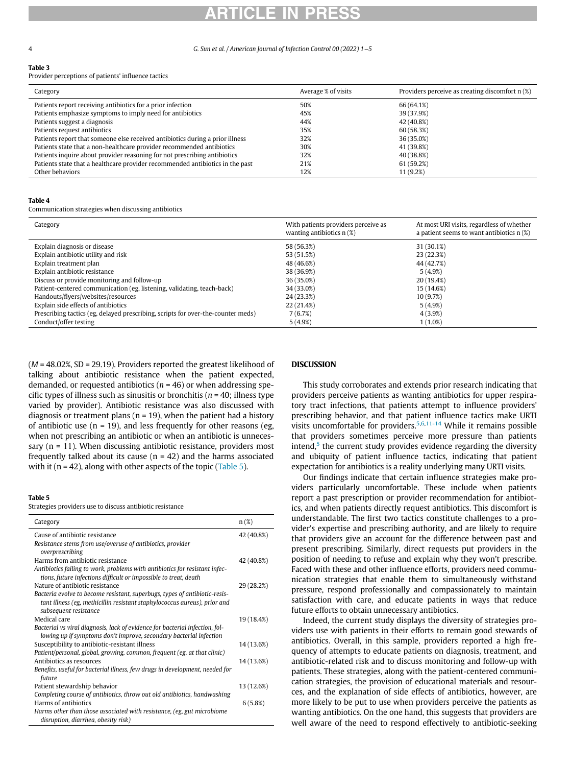# ARTICLE IN PRESS

4 G. Sun et al. / American Journal of Infection Control 00 (2022) 1−5

#### <span id="page-3-0"></span>Table 3

Provider perceptions of patients' influence tactics

| Category                                                                      | Average % of visits | Providers perceive as creating discomfort n (%) |
|-------------------------------------------------------------------------------|---------------------|-------------------------------------------------|
| Patients report receiving antibiotics for a prior infection                   | 50%                 | 66 (64.1%)                                      |
| Patients emphasize symptoms to imply need for antibiotics                     | 45%                 | 39 (37.9%)                                      |
| Patients suggest a diagnosis                                                  | 44%                 | 42 (40.8%)                                      |
| Patients request antibiotics                                                  | 35%                 | 60 (58.3%)                                      |
| Patients report that someone else received antibiotics during a prior illness | 32%                 | 36 (35.0%)                                      |
| Patients state that a non-healthcare provider recommended antibiotics         | 30%                 | 41 (39.8%)                                      |
| Patients inquire about provider reasoning for not prescribing antibiotics     | 32%                 | 40 (38.8%)                                      |
| Patients state that a healthcare provider recommended antibiotics in the past | 21%                 | 61 (59.2%)                                      |
| Other behaviors                                                               | 12%                 | 11 (9.2%)                                       |

#### <span id="page-3-1"></span>Table 4

Communication strategies when discussing antibiotics

| Category                                                                         | With patients providers perceive as<br>wanting antibiotics $n(\%)$ | At most URI visits, regardless of whether<br>a patient seems to want antibiotics $n(\%)$ |
|----------------------------------------------------------------------------------|--------------------------------------------------------------------|------------------------------------------------------------------------------------------|
| Explain diagnosis or disease                                                     | 58 (56.3%)                                                         | 31 (30.1%)                                                                               |
| Explain antibiotic utility and risk                                              | 53 (51.5%)                                                         | 23 (22.3%)                                                                               |
| Explain treatment plan                                                           | 48 (46.6%)                                                         | 44 (42.7%)                                                                               |
| Explain antibiotic resistance                                                    | 38 (36.9%)                                                         | 5(4.9%)                                                                                  |
| Discuss or provide monitoring and follow-up                                      | 36 (35.0%)                                                         | 20 (19.4%)                                                                               |
| Patient-centered communication (eg, listening, validating, teach-back)           | 34 (33.0%)                                                         | 15 (14.6%)                                                                               |
| Handouts/flyers/websites/resources                                               | 24 (23.3%)                                                         | 10 (9.7%)                                                                                |
| Explain side effects of antibiotics                                              | 22 (21.4%)                                                         | 5(4.9%)                                                                                  |
| Prescribing tactics (eg, delayed prescribing, scripts for over-the-counter meds) | 7(6.7%)                                                            | 4(3.9%)                                                                                  |
| Conduct/offer testing                                                            | 5(4.9%)                                                            | $1(1.0\%)$                                                                               |

 $(M = 48.02\%$ , SD = 29.19). Providers reported the greatest likelihood of talking about antibiotic resistance when the patient expected, demanded, or requested antibiotics ( $n = 46$ ) or when addressing specific types of illness such as sinusitis or bronchitis ( $n = 40$ ; illness type varied by provider). Antibiotic resistance was also discussed with diagnosis or treatment plans ( $n = 19$ ), when the patient had a history of antibiotic use ( $n = 19$ ), and less frequently for other reasons (eg, when not prescribing an antibiotic or when an antibiotic is unnecessary  $(n = 11)$ . When discussing antibiotic resistance, providers most frequently talked about its cause  $(n = 42)$  and the harms associated with it ( $n = 42$ ), along with other aspects of the topic [\(Table 5](#page-3-2)).

#### <span id="page-3-2"></span>Table 5

Strategies providers use to discuss antibiotic resistance

| Category                                                                                                                                                                         | $n(\%)$    |
|----------------------------------------------------------------------------------------------------------------------------------------------------------------------------------|------------|
| Cause of antibiotic resistance                                                                                                                                                   | 42 (40.8%) |
| Resistance stems from use/overuse of antibiotics, provider<br>overprescribing                                                                                                    |            |
| Harms from antibiotic resistance                                                                                                                                                 | 42 (40.8%) |
| Antibiotics failing to work, problems with antibiotics for resistant infec-<br>tions, future infections difficult or impossible to treat, death                                  |            |
| Nature of antibiotic resistance                                                                                                                                                  | 29 (28.2%) |
| Bacteria evolve to become resistant, superbugs, types of antibiotic-resis-<br>tant illness (eg, methicillin resistant staphylococcus aureus), prior and<br>subsequent resistance |            |
| Medical care                                                                                                                                                                     | 19 (18.4%) |
| Bacterial vs viral diagnosis, lack of evidence for bacterial infection, fol-<br>lowing up if symptoms don't improve, secondary bacterial infection                               |            |
| Susceptibility to antibiotic-resistant illness                                                                                                                                   | 14 (13.6%) |
| Patient/personal, global, growing, common, frequent (eg, at that clinic)                                                                                                         |            |
| Antibiotics as resources                                                                                                                                                         | 14 (13.6%) |
| Benefits, useful for bacterial illness, few drugs in development, needed for<br>future                                                                                           |            |
| Patient stewardship behavior                                                                                                                                                     | 13 (12.6%) |
| Completing course of antibiotics, throw out old antibiotics, handwashing                                                                                                         |            |
| Harms of antibiotics                                                                                                                                                             | 6(5.8%)    |
| Harms other than those associated with resistance, (eg, gut microbiome<br>disruption, diarrhea, obesity risk)                                                                    |            |

## DISCUSSION

This study corroborates and extends prior research indicating that providers perceive patients as wanting antibiotics for upper respiratory tract infections, that patients attempt to influence providers' prescribing behavior, and that patient influence tactics make URTI visits uncomfortable for providers.<sup>[5](#page-4-4),[6](#page-4-5)[,11-14](#page-4-10)</sup> While it remains possible that providers sometimes perceive more pressure than patients intend, $5$  the current study provides evidence regarding the diversity and ubiquity of patient influence tactics, indicating that patient expectation for antibiotics is a reality underlying many URTI visits.

Our findings indicate that certain influence strategies make providers particularly uncomfortable. These include when patients report a past prescription or provider recommendation for antibiotics, and when patients directly request antibiotics. This discomfort is understandable. The first two tactics constitute challenges to a provider's expertise and prescribing authority, and are likely to require that providers give an account for the difference between past and present prescribing. Similarly, direct requests put providers in the position of needing to refuse and explain why they won't prescribe. Faced with these and other influence efforts, providers need communication strategies that enable them to simultaneously withstand pressure, respond professionally and compassionately to maintain satisfaction with care, and educate patients in ways that reduce future efforts to obtain unnecessary antibiotics.

Indeed, the current study displays the diversity of strategies providers use with patients in their efforts to remain good stewards of antibiotics. Overall, in this sample, providers reported a high frequency of attempts to educate patients on diagnosis, treatment, and antibiotic-related risk and to discuss monitoring and follow-up with patients. These strategies, along with the patient-centered communication strategies, the provision of educational materials and resources, and the explanation of side effects of antibiotics, however, are more likely to be put to use when providers perceive the patients as wanting antibiotics. On the one hand, this suggests that providers are well aware of the need to respond effectively to antibiotic-seeking